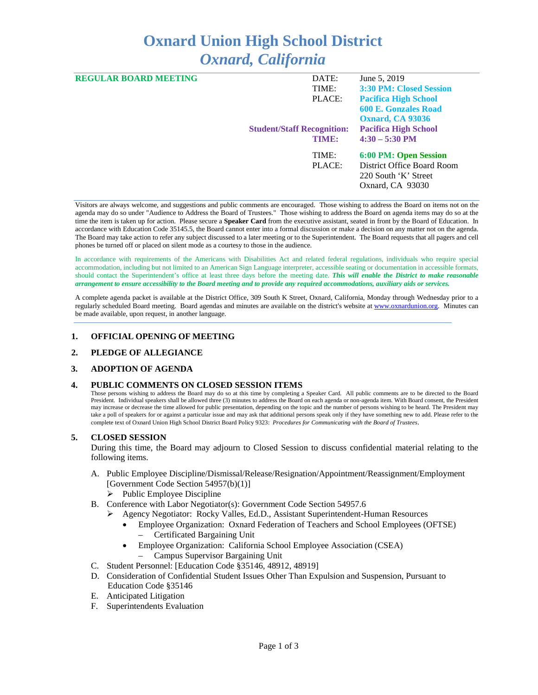# **Oxnard Union High School District** *Oxnard, California*

| <b>REGULAR BOARD MEETING</b> | DATE:                             | June 5, 2019                   |
|------------------------------|-----------------------------------|--------------------------------|
|                              | TIME:                             | <b>3:30 PM: Closed Session</b> |
|                              | PLACE:                            | <b>Pacifica High School</b>    |
|                              |                                   | <b>600 E. Gonzales Road</b>    |
|                              |                                   | <b>Oxnard, CA 93036</b>        |
|                              | <b>Student/Staff Recognition:</b> | <b>Pacifica High School</b>    |
|                              | TIME:                             | $4:30 - 5:30$ PM               |
|                              | TIME:                             | 6:00 PM: Open Session          |
|                              | PLACE:                            | District Office Board Room     |
|                              |                                   | 220 South 'K' Street           |
|                              |                                   | Oxnard, CA 93030               |
|                              |                                   |                                |

Visitors are always welcome, and suggestions and public comments are encouraged. Those wishing to address the Board on items not on the agenda may do so under "Audience to Address the Board of Trustees." Those wishing to address the Board on agenda items may do so at the time the item is taken up for action. Please secure a **Speaker Card** from the executive assistant, seated in front by the Board of Education. In accordance with Education Code 35145.5, the Board cannot enter into a formal discussion or make a decision on any matter not on the agenda. The Board may take action to refer any subject discussed to a later meeting or to the Superintendent. The Board requests that all pagers and cell phones be turned off or placed on silent mode as a courtesy to those in the audience.

In accordance with requirements of the Americans with Disabilities Act and related federal regulations, individuals who require special accommodation, including but not limited to an American Sign Language interpreter, accessible seating or documentation in accessible formats, should contact the Superintendent's office at least three days before the meeting date. *This will enable the District to make reasonable arrangement to ensure accessibility to the Board meeting and to provide any required accommodations, auxiliary aids or services.* 

A complete agenda packet is available at the District Office, 309 South K Street, Oxnard, California, Monday through Wednesday prior to a regularly scheduled Board meeting. Board agendas and minutes are available on the district's website at [www.ox](http://www.o/)nardunion.org.Minutes can be made available, upon request, in another language.

#### **1. OFFICIAL OPENING OF MEETING**

#### **2. PLEDGE OF ALLEGIANCE**

#### **3. ADOPTION OF AGENDA**

#### **4. PUBLIC COMMENTS ON CLOSED SESSION ITEMS**

Those persons wishing to address the Board may do so at this time by completing a Speaker Card. All public comments are to be directed to the Board President. Individual speakers shall be allowed three (3) minutes to address the Board on each agenda or non-agenda item. With Board consent, the President may increase or decrease the time allowed for public presentation, depending on the topic and the number of persons wishing to be heard. The President may take a poll of speakers for or against a particular issue and may ask that additional persons speak only if they have something new to add. Please refer to the complete text of Oxnard Union High School District Board Policy 9323: *Procedures for Communicating with the Board of Trustees*.

#### **5. CLOSED SESSION**

During this time, the Board may adjourn to Closed Session to discuss confidential material relating to the following items.

- A. Public Employee Discipline/Dismissal/Release/Resignation/Appointment/Reassignment/Employment [Government Code Section 54957(b)(1)]
	- $\triangleright$  Public Employee Discipline
- B. Conference with Labor Negotiator(s): Government Code Section 54957.6
	- Agency Negotiator: Rocky Valles, Ed.D., Assistant Superintendent-Human Resources
		- Employee Organization: Oxnard Federation of Teachers and School Employees (OFTSE) – Certificated Bargaining Unit
		- Employee Organization: California School Employee Association (CSEA)
			- Campus Supervisor Bargaining Unit
- C. Student Personnel: [Education Code §35146, 48912, 48919]
- D. Consideration of Confidential Student Issues Other Than Expulsion and Suspension, Pursuant to Education Code §35146
- E. Anticipated Litigation
- F. Superintendents Evaluation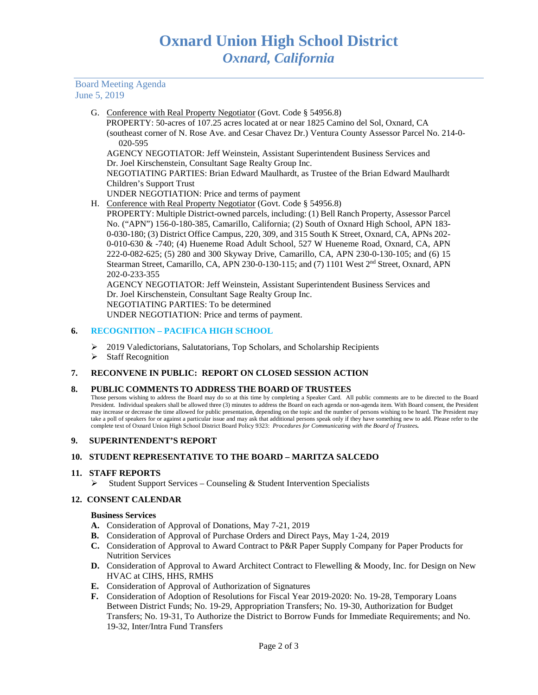#### Board Meeting Agenda June 5, 2019

G. Conference with Real Property Negotiator (Govt. Code § 54956.8)

 PROPERTY: 50-acres of 107.25 acres located at or near 1825 Camino del Sol, Oxnard, CA (southeast corner of N. Rose Ave. and Cesar Chavez Dr.) Ventura County Assessor Parcel No. 214-0- 020-595

AGENCY NEGOTIATOR: Jeff Weinstein, Assistant Superintendent Business Services and Dr. Joel Kirschenstein, Consultant Sage Realty Group Inc.

NEGOTIATING PARTIES: Brian Edward Maulhardt, as Trustee of the Brian Edward Maulhardt Children's Support Trust

UNDER NEGOTIATION: Price and terms of payment

H. Conference with Real Property Negotiator (Govt. Code § 54956.8)

PROPERTY: Multiple District-owned parcels, including: (1) Bell Ranch Property, Assessor Parcel No. ("APN") 156-0-180-385, Camarillo, California; (2) South of Oxnard High School, APN 183- 0-030-180; (3) District Office Campus, 220, 309, and 315 South K Street, Oxnard, CA, APNs 202- 0-010-630 & -740; (4) Hueneme Road Adult School, 527 W Hueneme Road, Oxnard, CA, APN 222-0-082-625; (5) 280 and 300 Skyway Drive, Camarillo, CA, APN 230-0-130-105; and (6) 15 Stearman Street, Camarillo, CA, APN 230-0-130-115; and (7) 1101 West 2nd Street, Oxnard, APN 202-0-233-355

AGENCY NEGOTIATOR: Jeff Weinstein, Assistant Superintendent Business Services and Dr. Joel Kirschenstein, Consultant Sage Realty Group Inc. NEGOTIATING PARTIES: To be determined UNDER NEGOTIATION: Price and terms of payment.

# **6. RECOGNITION – PACIFICA HIGH SCHOOL**

- 2019 Valedictorians, Salutatorians, Top Scholars, and Scholarship Recipients
- $\triangleright$  Staff Recognition

# **7. RECONVENE IN PUBLIC: REPORT ON CLOSED SESSION ACTION**

#### **8. PUBLIC COMMENTS TO ADDRESS THE BOARD OF TRUSTEES**

Those persons wishing to address the Board may do so at this time by completing a Speaker Card. All public comments are to be directed to the Board President. Individual speakers shall be allowed three (3) minutes to address the Board on each agenda or non-agenda item. With Board consent, the President may increase or decrease the time allowed for public presentation, depending on the topic and the number of persons wishing to be heard. The President may take a poll of speakers for or against a particular issue and may ask that additional persons speak only if they have something new to add. Please refer to the complete text of Oxnard Union High School District Board Policy 9323: *Procedures for Communicating with the Board of Trustees.*

#### **9. SUPERINTENDENT'S REPORT**

#### **10. STUDENT REPRESENTATIVE TO THE BOARD – MARITZA SALCEDO**

#### **11. STAFF REPORTS**

 $\triangleright$  Student Support Services – Counseling & Student Intervention Specialists

#### **12. CONSENT CALENDAR**

#### **Business Services**

- **A.** Consideration of Approval of Donations, May 7-21, 2019
- **B.** Consideration of Approval of Purchase Orders and Direct Pays, May 1-24, 2019
- **C.** Consideration of Approval to Award Contract to P&R Paper Supply Company for Paper Products for Nutrition Services
- **D.** Consideration of Approval to Award Architect Contract to Flewelling & Moody, Inc. for Design on New HVAC at CIHS, HHS, RMHS
- **E.** Consideration of Approval of Authorization of Signatures
- **F.** Consideration of Adoption of Resolutions for Fiscal Year 2019-2020: No. 19-28, Temporary Loans Between District Funds; No. 19-29, Appropriation Transfers; No. 19-30, Authorization for Budget Transfers; No. 19-31, To Authorize the District to Borrow Funds for Immediate Requirements; and No. 19-32, Inter/Intra Fund Transfers